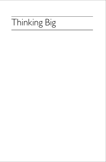# Thinking Big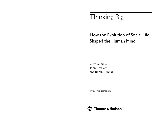## Thinking Big

How the Evolution of Social Life Shaped the Human Mind

Clive Gamble John Gowlett and Robin Dunbar

with 57 illustrations

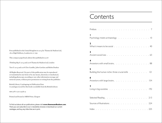### Contents

| ı                                                       |
|---------------------------------------------------------|
| $\mathbf{2}$<br>What it means to be social 40           |
| 3                                                       |
| $\boldsymbol{A}$<br>Ancestors with small brains. 88     |
| 5<br>Building the human niche: three crucial skills 121 |
| 6<br>Ancestors with large brains. 154                   |
| 7<br>Living in big societies 192                        |
|                                                         |
| Sources of Illustrations 224                            |
|                                                         |

First published in the United Kingdom in 2014 by Thames & Hudson Ltd, 181A High Holborn, London WCIV 7QX

This compact paperback edition first published in 2018

Thinking Big © 2014 and 2018 Thames & Hudson Ltd, London

Text © 2014 and 2018 Clive Gamble, John Gowlett and Robin Dunbar

All Rights Reserved. No part of this publication may be reproduced or transmitted in any form or by any means, electronic or mechanical, including photocopy, recording or any other information storage and retrieval system, without prior permission in writing from the publisher.

British Library Cataloguing-in-Publication Data A catalogue record for this book is available from the British Library

ISBN 978-0-500-29382-9

Printed and bound at MBM Print, Glasgow

To find out about all our publications, please visit www.thamesandhudson.com. There you can subscribe to our e-newsletter, browse or download our current catalogue, and buy any titles that are in print.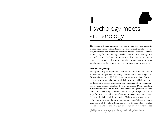# **1** Psychology meets archaeology

The history of human evolution is an iconic story that never ceases to mesmerize and enthral. Buried in our past is one of the triumphs of evolution, the story of how a common-or-garden African ape began to change both its body form and the way it lived its life – and how in doing so, it eventually became the dominant species on earth. It is only within the last century that we have really come to appreciate the grandeur of this story and the moments of uncertainty and near-extinction that threatened it.

#### From small beginnings

Some 7 million years separate us from the time that the ancestors of humans and chimpanzees were a single species: a small, undistinguished African Miocene ape.\* We finished that part of our story in the last 5000 years as the only animal to have settled all the terrestrial habitats of the earth, from the tropical forest to the arctic tundra and from high mountain plateaux to small islands in the remotest oceans. During that long history the size of our brains trebled and our technology progressed from simple stone tools to digital marvels. We walked upright, spoke, made art in profusion and crafted worlds of enormous imaginative complexity in the name of religion, politics and society. Truly, we are no longer apes.

For most of these 7 million years we were not alone. Where our remote ancestors lived they often shared the space with other closely related species. This ancient pattern began to change within the last 100,000

\* The Miocene dates from about 23 to 5.3 million years ago. It is followed by the Pliocene (5.3 to 2.6 million years ago) and the Pleistocene (2.6 million to 11,700 years ago).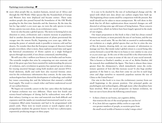12 years when people like us, modern humans, moved out of Africa and through the Old World. Older species like the Neanderthals of Europe and Western Asia were displaced and became extinct. These same modern people also passed beyond the boundaries of the Old World, peopling for the first time Australia and the Americas. By the time the last Ice Age ended 11,000 years ago, we were the only species in town; *Homo sapiens* was now alone, in an evolutionary sense.

Soon we also became a global species. The move to farming led in one direction to cities, civilizations and a massive increase in population. And in another direction the domestication of plants provisioned the voyages into the remote Pacific, beginning 5000 years ago, while harnessing the power of animals made it possible to traverse cold and hot deserts. No wonder then that the European voyages of discovery found people everywhere; what is more, these explorers tested time-and-again the historical circumstance of *Homo sapiens* as a single biological species through successful, if not always consensual, interbreeding.

We still carry this 7-million-year history in our bodies and our brains. The scientific insights that arise by comparing our own anatomy and that of the great apes have been essential for understanding the process of evolution, and a revolution in genetics has opened up new evidence for tracing ancestral lineages using both modern and ancient DNA. Fossil skeletons, skulls and teeth have also received forensic attention for the evolutionary information they contain. At the same time, archaeologists have charted the development of technology and tackled key issues concerning diet and the behaviour that ensured a reliable food supply. The result is a much richer and better-understood record of our earliest history.

We began our scientific careers in the late 1960s when the landscape of human evolution was very different. There were few fossils and science-based techniques of dating (led by radiocarbon) were still in their infancy. Getting to see sites and materials was both difficult and expensive until the jumbo jet transformed international travel in 1970. Computers filled entire basements and had to be programmed with punch cards. There were no touch screens or search engines and as postgraduate students the greatest luxury we had was a photocopier, expensively producing images on shiny paper.

**12** years when people like us, modern humans, moved out of Africa and **13** It is easy to be dazzled by the rate of technological change and the 13 speed with which new data about our earliest origins have built up. The beginning always seems small by comparison with the present. But small should not be taken to mean unimportant. We will show in this book that for all their sophistication those material changes are still directed at solving some age-old issues of being human. These concern our social lives, which we believe have been largely ignored in the study of our origins.

> Our major proposition in this book is that a link has always existed between our brains, or more precisely the size of our brains, and the size of our basic social units. We see this link as essential to understanding our evolution as a single, global species that can live in cities the size of Rio de Janeiro, drawing daily on vast amounts of information to manage our lives. But inside today's global citizen is a social being who carries forward a social life that in its basics is very similar to one 5000 or 50,000 years ago. At the core of this social life is the observation that a limit of about 150 exists in terms of the size of your social network. This is known as Dunbar's number, as one of us, Robin Dunbar, did the research that established the figure. This limit is almost three times greater than the chimpanzee's, which immediately raises the evolutionary question of how did this increase occur? It also begs another question: if the limit is 150, then how come we can live in such large cities and align ourselves to massively populous nations the size of China or the United States?

> Our aim in this book is to trace the evolutionary journey from our small beginnings to the present position. Our principal guides are psychologists and archaeologists, although many other disciplines have been involved. With our social perspective on human evolution, we have set out to learn about the following central issues:

- Is there a limit in our brains, our cognitive ability, that restricts the size of the social groups we can live in?
- If so, how did our cognitive ability evolve to cope with ever greater numbers of people, as societies grew from the small social worlds of hunters to today's mega-cities?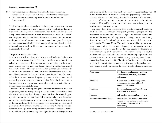- **14** Given that our ancestors had much smaller brains than ours, and meaning of the stones and the bones. Moreover, archaeology was **15** • Given that our ancestors had much smaller brains than ours, what do we mean when we talk of a social life in the remote past?
	- Will it ever be possible to say when hominin brains became human minds?

The list above could of course be much longer, but these core questions indicate our interest, first and foremost, in the social rather than in a history of technology or the architectural details of fossil skulls. They also point to our concerns with cognitive matters, the business of understanding how and why we think and act the way we do. Our approach is underpinned by evolutionary theory and our goal is to apply the insights from an experimental subject such as psychology to a historical discipline such as archaeology. This is rarely attempted and never easy. But first some background.

#### The germ of an idea takes shape

In 2002, the British Academy, the UK's national body for the humanities and social sciences, launched a competition for a research project to celebrate the centenary of its foundation. It proposed to give the largest single grant it had ever made to a flagship project in the humanities and the social sciences. Although our individual perspectives and interests had been quite different, the three of us had spent most of our professional lives immersed in the story of human evolution. One of us was a Palaeolithic archaeologist with a primary interest in Africa, one a social archaeologist with a special interest in late Palaeolithic societies in Europe, the third an evolutionary psychologist with a principal interest in human and primate behaviour.

It seemed to us, contemplating the opportunities that such a project might offer, that we were perfectly placed to rise to the challenge that the British Academy had thrown down. We had the single biggest question one could ever ask (how did we come to be human?) and we could bring novel expertise to bear on the question. Where past studies of human evolution had been obliged to concentrate on the limited physical evidence that was available (the stones and the bones), we were fortuitously in a position to exploit recent findings about social behaviour and brain evolution in a way that might illuminate the significance

in the humanities half of the Academy and psychology in the social sciences half, so we could bridge the divide over which the Academy presided, offering an iconic example of how to do interdisciplinary research. We quickly became galvanized with enthusiasm, put our heads together and sent in a bid.

The possibilities that such an endeavour offered seemed positively limitless. The academic world was just beginning to grapple with the integration of psychology and archaeology. The previous decade had witnessed the creation of cognitive archaeology under the driving force of the British archaeologist Colin Renfrew and the American archaeologist Thomas Wynn. The main focus of this approach had been understanding the cognitive demands of toolmaking and the production of works of art. But we felt that recent developments in our understanding of the behaviour of our nearest living cousins, the monkeys and apes, and in the processes underpinning important areas such as brain evolution, would enable us to go one step beyond to say something about the social life of hominins (see Table 1.1), and to do so much further back in time than most cognitive archaeologists had previously dared to go. In particular, the theory that had become known as

| Anthropoids                | All primates (monkeys and great apes<br>and their fossil ancestors), hominins<br>and humans                                                |
|----------------------------|--------------------------------------------------------------------------------------------------------------------------------------------|
| Hominids                   | All great apes (gorillas, orang utans,<br>chimpanzees, bonobos, gibbons),<br>hominins and humans                                           |
| Hominins                   | All our fossil ancestors (Ardipithecus,<br>Australopithecus, Homo)                                                                         |
| <b>Humans</b>              | Only modern humans, Homo sapiens                                                                                                           |
| Anatomically modern humans | <i>Homo sapiens</i> but without substantial<br>evidence for our cultural accoutrements<br>(art, burials, ornament, musical<br>instruments) |

Table 1.1: *Common terms in human evolution.*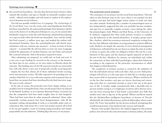**16 17** the social brain hypothesis – the idea that the brain had evolved to allow animals like monkeys and apes to handle an unusually complex social world – offered novel insights and rich seams to exploit in the exploration of hominin social evolution.

Our bid was grandly entitled *Lucy to Language: The Archaeology of the Social Brain*. Lucy was the iconic early australopithecine fossil that had been unearthed by the palaeoanthropologist Don Johanson and his team in the deserts of northeastern Ethiopia in 1974 (it was named after the Beatles' song *Lucy in the Sky with Diamonds*, which had been playing on a tape recorder when the fossil was unearthed). Lucy and her family had lived around 3.5 million years ago, and marked the earliest welldocumented hominins. Since the australopithecines still shared many similarities with our common ape ancestors – at least in terms of brain capacity – it seemed like the obvious place to start our story. Language marked the appearance of modern humans, our own kind, and seemed like a natural end point. And so the project acquired its name.

After submitting our proposal, we could only sit back and wait. It is not easy to get funding for research in the sciences or the humanities these days in any country, so we were under no illusions about the outcome. The funding rates of the UK research councils are notoriously low, with only about 10 per cent of proposals actually receiving grants – despite the fact that almost all of those submitted involve exciting, novel and innovative science. We fully expected to be presiding over yet another failed bid. So it was with some surprise and excitement that we heard that our project had been shortlisted for the final interview stage. We were in with a chance!

In the end, of course, this particular story had a happy ending, or we wouldn't now be writing this book. Ours was the project that was selected by the British Academy as its Centenary Research Project. It turned out that the competition had been much tougher than we had imagined. There had been more than 80 other proposals submitted. Many other potentially exciting projects had faced disappointment, with all the attendant wailing and gnashing of teeth as is inevitable under such circumstances. But, with money for a seven-year project assured, all we had to do was put together a team of exciting young researchers and venture purposefully into the unknown. *Thinking Big* is the story of our project.

The social brain and its evolution

The centrepiece of our project was the social brain hypothesis. This had taken its first hesitant steps in the 1970s when it was pointed out that monkeys and apes had much bigger brains relative to body size than any other animals. Pondering this, a number of primatologists more or less independently suggested that this was probably because monkeys and apes live in unusually complex societies. Later, during the 1980s, the primatologists Andy Whiten and Dick Byrne, of the University of St Andrews, suggested that what made primate societies so complex was the behaviour of the animals themselves. A monkey group wasn't like a beehive, which has enormous structural complexity arising from the fact that different individuals are programmed to perform different tasks. Beehives are largely the outcome of strict chemical management of behaviour: individual bees do not choose to adopt the roles of worker or drone or queen, but rather are obliged to behave this way by a combination of their genes and the chemical signals imposed on them by the rest of the hive. Monkeys, by contrast, are individuals and, within the constraints of their individual psychologies, adjust their behaviour according to the exigencies of the particular circumstances in which they happen to find themselves.

The complexity of primate societies is created by the subtleties of how the individuals interact with each other. And, as every field primatologist will tell you, it is the soap opera of daily life in a monkey group that creates both its fascination and its intricacy. Whiten and Byrne lit on the fact that monkeys and apes are forever deceiving and outwitting each other in a perennial attempt to steal a fast one in the great race of life. A monkey might surreptitiously hide a desirable fruit to prevent another seeing it; or it might give an alarm call to distract everyone else from noticing that it had found a particularly nice bulb that needed some time to dig out of the ground. Whiten and Byrne named this the Machiavellian intelligence hypothesis, in honour of Niccolò Machiavelli, the Italian Renaissance political philosopher whose iconic book *The Prince* had spelled out the devious political strategizing that would best guarantee a late medieval ruler success and long life.

Because some people objected to the implied suggestion that primate politics were driven by the same deviousness as human politics, the name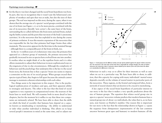In part, this was in recognition that it wasn't just the behavioural complexity of monkeys and apes that was at stake, but also the sizes of their groups. The seal was imposed on this story during the 1990s, when it was shown that the average size of a species' social groups correlated with the size of its brain (see Figure 1.1); or to be more precise, correlated with the size of its neocortex (literally 'new cortex'), the outer layer of the brain, surrounding the so-called old brain (the brain stem and mid-brain, including the limbic system and the parts that run most of the body's autonomic activities). It is the neocortex that has exploded in size during the course of primate evolution. It was this massive expansion of the neocortex that was responsible for the fact that primates had larger brains than other mammals. The neocortex appears for the first time in the mammal lineage – although there is a comparable part of the brain in birds, too.

In the 60–70 million years of evolutionary time since the primates first appeared as a distinct group of mammals, the primate neocortex has gradually increased in size as species have evolved from one into another. It overlies what we might think of as the reptilian brain and it is what allows mammals to adjust their behaviour in more sophisticated ways to the exigencies of day-to-day circumstances. Although the complexity of behaviour and the psychology that underpins this is the key to the social brain story, the bottom line is that a species' brain size seems to impose a constraint on the size of its social groups. When groups exceed their species-typical limit, they begin to fall apart because the animals cannot manage to maintain coherent relationships with each other.

Two things seem to be important in this respect. One is the psychological sophistication of monkeys and apes, and their apparent ability to strategize and deceive. The other is the fact that this kind of social cognition is very expensive in computational terms: the neurons of the brain have to work hard. We will examine both in more detail in later chapters, but for the moment let it suffice to say that these two components are intimately related. We have been able to show that the skills on which the kind of sociality that humans have depend on a capacity known as mindreading or mentalizing – the ability to understand or infer what another individual is thinking. This allows us to keep several people's intentions in mind at the same time, and so adjust our



Figure 1.1: *Social group size for different monkey and ape species plotted against the species' relative neocortex*  size. The neocortex is the outer layer of the brain that is responsible for complex thought. The index of relative *neocortex size (neocortex ratio) is neocortex volume divided by the volume of the rest of the brain: this allows us to standardize for differences in brain size.*

behaviour in such a way as to allow for their interests as well as ours when we act in a particular way. We have been able to show, in addition, that this capacity for coping with many individuals' mental states depends crucially on the volume of neural matter in particular parts of the neocortex. These regions, in the frontal and temporal lobes, form a network of neural clusters that are known to be crucial to mentalizing.

A key aspect of the social brain hypothesis of particular interest to our story is the fact that it makes a very specific prediction about the size of human groups. The equation that relates social group size in apes to a species' neocortex volume predicts that modern humans have a natural group size of about 150 individuals, the value that is, as we have seen, now known as Dunbar's number. One reason this is important for our story is the fact that the relationship shown in Figure 1.1 spans the sequence from chimpanzees (representative of the last common ancestor between great apes and humans) to modern humans: all the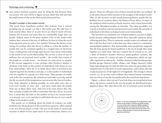**20** now-extinct hominin ancestors must lie along the line between these **121** species. There are still quite a few of these around, but they are confined 21 now-extinct hominin ancestors must lie along the line between these two points. Our task will be to figure out just where they fall and what the implications of this are for their social and mental lives.

#### Dunbar's number in the modern world

The social brain hypothesis predicts that humans have a natural grouping size of around 150. But is this really true? We only have to look around where most of us now live to see what is surely obvious: humans live in towns and cities that are considerably larger than 150 people. Indeed, many of the great modern cities of the world today number their citizens in the tens of millions. So how is it that the social brain equation gives us such a low number? Perhaps the theory is just wrong. Or perhaps what the theory is telling us is that the number of people that can be crammed together in a tangled mess of electricity wires, winding lanes and sewage pipes doesn't bear much relationship to the world of our social relationships. We can live in cities of tens of millions, but our personal social worlds – the worlds that consist of the people we actually know – are formed of a pint-sized 150 people. If this second suggestion is true, perhaps what Dunbar's number is all about is the limit on the number of individuals with whom we can have relationships. After all, if we think about what is involved in the original equation for monkeys and apes, it is the number of individuals who live together in a group on a daily basis. These groups are small, and, with a few exceptions, the animals see each other every day and all day. By no stretch of the imagination can everyone who lives in London, New York, Mumbai or Beijing possibly see each other every day, or even every month, or every year – and never mind meet the people from any of these other cities. And even if by some chance they did, they certainly wouldn't be able to remember who they all are. In actual fact, it seems that the limit on the number of faces we can put names to is around 1500–2000, and that is well below the size of even a small village in the modern world.

This puzzle set us thinking about the kinds of evidence we really needed to test the prediction of the social brain equation. There seemed to be two obvious places to look. One was in the kinds of small-scale societies in which we have spent most of our evolutionary history as a to the more obscure tribal societies on the margins of the modern world. They are the societies we find among hunter-gatherers, people like the Kalahari San of southern Africa, the Hadza of East Africa, or many of the rainforest tribal societies in South America, and, at least historically, among the Aboriginal peoples of Australia. The other possibility was to look at ourselves and our own personal social worlds, the network of individuals with whom we had personal social relationships.

The literature on community size in hunter-gatherer societies is slight, partly because anthropologists haven't been especially assiduous about collecting such data. There is, moreover, another source of confusion, and this is the fact that it isn't at first clear just what counts as a community among hunter-gatherers. Not unreasonably, many people have supposed that the basic group for hunter-gatherers is the set of people that camp together on a daily basis. This has a typical size of around 35–50, only a third of Dunbar's number. However, hunter-gatherer societies, like our own, consist of a variety of types of communities, which are typically organized as a hierarchy – families clustered within kinship groups, kinship groups clustered within villages, and villages clustered within larger regional groups. It is this last that turns out to be particularly interesting because it is this level of social organization, and it alone, that has a typical group size of the right sort of magnitude. The average is almost exactly 150. So we have some evidence that natural human community sizes are in fact of just the size predicted by the social brain hypothesis.

Figure 1.2 shows what you see if you look down on a population from above, the picture created by the way the people are distributed in geographical space. But what about the size of personal social networks,



Figure 1.2: *The circles of friendship. The average person's social network consists of about 150 friends and family, arranged in a series of layers that correspond to different qualities of relationship, each of a very distinctive size. Each layer in this series is roughly three times larger than the layer inside it. The layers are roughly equivalent to intimate friends, best friends, good friends and friends.*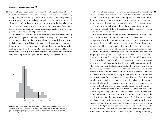Our first attempt to look at this involved Christmas cards. Each year, many of us sit down and spend a lot of time, effort and money sending cards to people we want to keep in touch with. So one year, we asked about 45 people to keep a list of all the people in the households to which they were sending cards. Figure 1.3 shows the result. There was a fair bit of variation, but the average was in fact 154, about as close to the predicted value as one could possibly wish.

This prompted us to be a bit more ambitious, and over the following years we put together a large database involving 250 individuals who made complete lists of all the people whom they regarded as important in their personal lives. This was, it must be said, an arduous undertaking because we also asked them to tell us a lot of details about the individuals they listed – how they were related to them, when they had last seen them, how close they felt to them emotionally. But the end result was very rewarding because, again, the number 150 emerged as critical.



Figure 1.3: *The Christmas card lists of 45 people. While our social networks have a typical size of about 150 people, we vary a great deal in the number of friends and relations we have: some of us have very small networks (though we typically invest more time and effort in each relationship) and some have considerably larger ones (but typically invest less in each relationship).*

**22 23** the social world seen from below, from the individual's point of view? So between these various sources of data, we seemed to have strong 23 evidence for the claim that our social world is quite small and limited to about 150 other people. From our big dataset, we were able to draw two more key conclusions. First, people varied quite a lot in the number of friends they had. In fact, the range of variation around the 150 mark is probably something like 100–200. Second, and this surprised us, about half the individuals included in people's 150s were family and half were friends.

> Since all the people in our sample were Europeans (from the UK and from Belgium), we had assumed that family members would largely be represented just by close kin – mum, dad, brothers, sisters, grandparents, perhaps the odd aunt or uncle or cousin. But we thought the numbers would be quite small. Of course, kinship – and extended kinship – is important in traditional societies. Indeed, kinship has been the bread and butter of anthropological study since the discipline first got going a century-and-a-half ago. But we assumed that it was only traditional societies that still 'did' kinship in the extended sense: we in the developed world had abandoned such notions, preferring the advantages of social mobility over the ties of hearth and home, and as a result, while of course we still valued immediate family, our social worlds were dominated by friendships and acquaintances from work. This turned out not to be so. About half the people we include in our social network are members of our extended family. In fact, we could even show that people who come from big extended families list fewer friends in their social networks. So it seems that the figure of 150 is a real limit on the number of relationships you can have. You have just 150 slots, you give priority to family members first, and then fill the rest up with friends.

> Of course, there are many ways to outflank the limits. You don't *have*  to include your family in the list. Some people fall out with their close family and never see them again. Rather, the point is that, typically, people prioritize family above friends. If you don't have many family members, or you have fallen out with them, then you fill your slots with friends – or your favourite soap opera characters, or your pet, even your favourite potted plant if you genuinely feel you have a relationship with it! And of course, you can even include people who don't physically exist, like God or the saints, if you feel so disposed. The important thing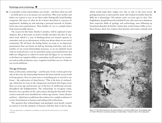$24$  to remember is that relationships, ties, bonds – call them what you will – are built up by us as we pursue our social lives. Who your mother and father are is given to you, as are those other biologically based kinship categories. But most of what we do is better described as a process of negotiation, building up and selecting a personal network of friends, loved ones and acquaintances. That number of 150 is a sample drawn from many possible choices.

The reason for this limit, Dunbar's number, will be explored in later chapters. But at this point we need to briefly introduce the idea of cognitive load, which is a way of thinking about our mental capacity to remember and act on information, in this case about others in our social community. We all know the feeling before an exam or an important presentation that our brains are full up, bursting with data, and as the number of our social relationships increases, so we are similarly faced with an overload issue. Can we remember names, personal histories and fulfil our obligations to others? It seems that the figure of 150 stretches to the limit our cognitive ability to remember, recall and react in consistent and socially productive ways. Cognitive load thus acts as a brake on our social ambitions.

#### The age of the past

Enter, at this point, archaeology – and the past. So far, we have given one side of the coin, the relationship between the brain and the social world in living species. Now we must turn to something just as crucial in our frame – the exploration of deep-history.\* This is the forte of archaeology, which has its roots in the antiquarian movement that began more than 300 years ago and became one of the foci of intellectual curiosity throughout the Enlightenment. The archaeology we recognize today, however, was a product of the 19th century. During the first half of that century materials were classified into a three-age system – Stone, Bronze and Iron – which later would form the evidence for a simple evolution of society from hunters to farmers and ending with civilizations.

The question that archaeologists and geologists most keenly wanted an answer to was the antiquity of humans. Did they date to the Ice Age,

\* We use deep-history in preference to prehistory to describe the remote history of our earliest ancestors.

**24** to remember is that relationships, ties, bonds – call them what you will which would make their origins very old, or only to the most recent 25 geological period, as advocated by many who looked no further than the Bible for a chronology? The answer came 150 years ago, in 1859. Two Englishmen, Joseph Prestwich and John Evans, who went on to dominate their respective fields of geology and archaeology, were following up Frenchman Boucher de Perthes' claims that, in the Somme Valley in northern France, there was evidence that humans and extinct animals such



Figure 1.4: *The St Acheul gravel pit in the suburbs of Amiens in the Somme Valley, France. This photograph, taken on 27 April 1859, shows a quarryman pointing to a handaxe (Figure 1.5) found in place in the Ice Age gravels.*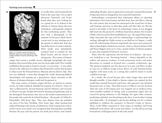

Figure 1.5: *A handaxe crucial to the history of Palaeolithic studies was recently relocated by Clive Gamble and Robert Kruszynski, still bearing its label of 1859.* 

as woolly rhino and mammoth had lived at the same time. On an April afternoon Prestwich and Evans found what they were looking for in a gravel pit at St Acheul in the suburbs of Amiens (hence the term 'Acheulean', subsequently adopted for this toolmaking epoch). They even took a photograph of the moment of discovery, which shows a stone tool, in situ, sticking out of the gravels in which they had also found the bones of extinct animals. Their results were immediately accepted back in London by the Royal Society and the Society of Antiquaries. The science of human

origins had scored a notable success although intriguingly the stone handaxe that proved their point was lost from sight until Clive Gamble and Robert Kruszynski re-found it exactly 150 years later – it was safely stored in the collection of artifacts that Prestwich's widow had donated to what is now the Natural History Museum after he died in 1896. This was very definitely a stone that changed the world, shattering biblical chronologies and opening up a deep-history whose enormity, in the absence of dating techniques, could only be guessed at.

This same science of human origins did have an interest in ancient society. Sir John Lubbock subtitled his popular *Pre-Historic Times* of 1865 *as Illustrated by Ancient Remains and the Manners and Customs of Modern Savages*. People who lived by hunting and gathering, such as the Aboriginal Tasmanians, were seen as the modern representatives of the people who made the St Acheul handaxe – the people of Lubbock's Palaeolithic (Old Stone Age). They were distinct from the polished axe users of his later Neolithic (New Stone Age), when farming had replaced hunting as the means of subsistence. Such comparisons continued for many years until it was recognized that drawing direct parallels between the past and the present was both poor history and entirely

**26 27 28 28 28 28 28 28 27 28 27 28 27 28 27 28 27 28 27 27 28 27 27 28 27 27 20 27 20 27 20 21 20 21 20 21 20 21 20 21 20 21 21 21 2** living today had not changed but were instead living fossils.

> Archaeologists concentrated their subsequent efforts on amassing information, first from Europe and then from Asia and Africa. During the 20th century they became less interested in the social lives of these early humans and more in what they made and what they ate. But the social is inevitably at the heart of archaeology's ideas. It was dragged fully back into the picture by a brilliant Australian scholar, Vere Gordon Childe, in his *Social Evolution* published in 1951. He argued that archaeology must play the same role for anthropology as palaeontology for zoology, although for Childe society, as we shall see in Chapter 3, really took off with farming. However imperfectly the traces were preserved, what archaeologists studied was societies. And so, when Grahame Clark and Stuart Piggott went on to write a grand outline of human progress in 1965, they entitled it *Prehistoric Societies.*

> These were the aspirations, but the frame of evolution – the necessary backdrop to our 'becoming human' – always depended on the earliest and sparsest evidence. It took pioneering resolve and major discoveries to catapult us forward into a modern evolutionary age. The greatest landmark was the discovery by Louis and Mary Leakey in 1959–60, at Olduvai Gorge in East Africa, of early hominin fossils, together with stone tools, in a setting that could be dated to nearly 2 million years ago.

> At a stroke, the record became three times longer than most had thought possible. A time-depth to human origins was opened up that would have amazed Prestwich and Evans, who guessed a few hundred thousand years at most. That field season at Olduvai was the moment when the scale of the human past was mapped out in modern terms, with scientific methods of dating, such as potassium–argon, that are crucial for giving substance to the findings. Yet again other sciences, psychology included, were knocking on the door. Louis Leakey's timing was impeccable – he managed to get his key findings out for a volume published to celebrate the centenary of Darwin's *Origin of Species*. There, Leslie White conceived of 'four stages of minding' and Irving Hallowell wrote about 'self, society and culture'. So why did we not leap forward into a full appreciation of the early mind?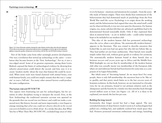

Figure 1.6: *A chart of primate evolution, showing the major divisions and the dates when they first appeared. On the left are the prosimians (represented today by lemurs and galagos); on the far right are the ape family (gibbons, orang utans, gorillas, chimpanzees and ourselves), with the New and Old World monkeys in between.*

Part of the brake came from other seemingly positive developments. One was a revolution that stirred up archaeology in the 1960s – a revolution that became known as the 'New Archaeology'. For us, it was a two-edged sword. Some of its greatest exponents, among them Lewis Binford, exposed the limits of archaeological evidence by showing how selective preservation could distort the record, and how easy it is to create 'modern myths' about the ways that human life could be recovered. When stone tools were found clustered with animal bones, even with human fossils, you could not simply assume that this was a 'campsite' or even a 'kill site'. Too many other natural factors could produce the same configuration.

#### The human club and W YSW TW

Two aspects were frustrating not just for archaeologists, but for scientists in other disciplines trying to interpret the record. First, in the New Archaeology the traditional narrative account was spurned on the grounds that our record was not history and could not make a connected story like history. Second, and more importantly, a view began to emerge insisting that *what you could not observe directly in the record you were forbidden even to think about*. At a stroke this idea, that What You See is What There Was (WYSWTW), excluded large areas of what

tific study of human origins. There were shades here reminiscent of the behaviourism that had dominated much of psychology from the First World War until the 1970s. Psychology is in origin about the working mind, and the behaviourists had argued that since the mind itself could not be observed directly, it was not even open for discussion. For human origins, too, many scholars felt that any advanced capabilities had to be demonstrated beyond reasonable doubt. Only if they expressed their ideas in material form – as art or skilled crafts – could earlier humans hope to be included in our modern club.

This idea of the modern human club has permeated archaeology since the 1970s, when a new phrase, 'the anatomically modern human', appears in the literature. This was coined to describe ancestors that looked like us and even had our genes but who did not behave like us. They had neither art nor basic architecture. Their burials were usually simple rather than rich, without grave goods or evidence for ceremony. The anatomically modern humans found in these burials date to between 200,000 and 50,000 years ago in Africa and the Middle East. With hindsight we can see that by membership of the modern human club what was actually meant was membership of the European club, where art and elaborate burials had been known for some time as a component of its Upper Palaeolithic.

But which sense of 'becoming human' do we mean here? For some people, there is only full membership: the ancestors have to be 'like us' to qualify, and that pretty much limits us to the last 200,000 years of hominin evolution. In this book, however, we are interested in a broader view, for we are primates, bound to our primate relatives such as the chimpanzee and the bonobo by a family tree that stretches back through several million years at least (see Figure 1.6). All of it is there to be explained, not merely the last few per cent.

#### Building the long record

Fortunately, that longer record has had a huge appeal. The new extended domains of deep-history made it seem as if archaeologists had pulled out a folding bed, and suddenly realized how much space they had. Pioneers possessed enormous enthusiasm and energy, launching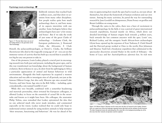

Figure 1.7: *The late Glynn Isaac was one of the leading thinkers in the generation of the 'New Archaeology'.*

fieldwork ventures that reached back 2 million years, and that drew in scientists from many other disciplines. Few people realize quite how much archaeology there is, and how many of its aspects interrelate with one another. Some biologists believe that archaeologists have just 'a few stones and bones'. But if we take the work of just some of the great Clarks of archaeology – Grahame Clark, the European prehistorian, J. Desmond Clark, the Africanist, F. Clark

Howell, the palaeoanthropologist, or David L. Clarke, the brilliant theoretician who died at the tragically young age of 38 – you can see the immense variety of activity that has built up a record that is actually far too big for any one person to take in.

One of the pioneers, Louis Leakey, played a crucial part in encouraging research into both past and present, including the great apes, and in this way transformed our knowledge about the background of human evolution. Born in Kenya in 1903, he drew from his upbringing in Africa a particular appreciation of animal and human behaviour in wild environments. Alongside this bush experience he acquired a western education and was able to investigate sites of all periods, not just at the famous Olduvai Gorge, but also early Miocene ape sites around Lake Victoria, and later Stone Age sites in the Rift Valley – including, quite coincidentally, a site named Gamble's Cave!

While this very breadth, combined with a somewhat headstrong and maverick personality, often irritated his European colleagues, it allowed Leakey to focus on the essentials of actual life in the savannahs and forests as it might have been. His colleague, the anatomist Philip Tobias, once remarked that Leakey epitomized the idea that no one achieved much who never made mistakes, and commented especially on his vision. Leakey realized that we could only hope to understand extinct animals by using modern animals to help interpret 'their structure, functioning and behaviour'. He was far ahead of his

**30 31** time in appreciating how much the apes had to teach us, not just about themselves, but about the framework of human evolution and our own nature. Among his many activities, he paved the way for outstanding research by Jane Goodall on chimpanzees, Diane Fossey on gorillas and Birutė Galdikas on orang utans.

> Through the 1960s to the 1980s, there was a buzz of excitement in palaeoanthropology. In the field, it was a period of great international research expeditions, focused mainly on Africa, which drove our detailed knowledge of human origins back towards 4 million years, back towards the last common ancestor with the apes. Louis' son, Richard Leakey, and the energetic South African-born archaeologist Glynn Isaac opened up the expanses of East Turkana; F. Clark Howell and the Harvard group worked at Omo to the north; Don Johanson and Maurice Taieb led a breakaway expedition that culminated in the spectacular discoveries around Hadar in the north of Ethiopia – the home of Lucy and her *Australopithecus afarensis* kin. So rich were



Figure 1.8: *Olduvai Gorge in Tanzania was for many years the focus of research by the Leakeys. Streams have cut a great scar across the landscape exposing ancient lake beds and the activities of early hominins. The latter transported stones for toolmaking from the rocky hills in the background, providing one of the first clues that their networks of operation could be explored.*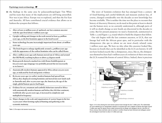- **32 33** the findings in the same area by palaeoanthropologist Tim White and his team that many of the implications are still being unravelled. Nor was it just Africa: Europe was re-explored, and then the Far East and Australia. All have contributed crucial evidence that allows us to fashion the synopsis that follows.
	- **1. After at least 20 million years of apehood, our last common ancestor with the apes lived about 7 million years ago**
	- **2. Upright walking and changes in the teeth started at least 4.4 million years ago, as the first hominins appear in the fossil record**
	- **3. Stone technology became increasingly important from about 2.6 million years ago**
	- **4. The brain began to enlarge significantly around 2.4 million years ago with the appearance of the earliest hominins who can be called** *Homo*
	- **5. After 2 million years ago early humans moved out of Africa and around the Old World, reaching in places to above 55 degrees north**
	- **6. Brain growth showed a marked rise with** *Homo heidelbergensis* **at 600,000 years ago; language was probably present but not necessarily as we know it**
	- **7. Anatomically modern humans appeared in Africa about 200,000 years ago, as indicated by fossil and genetic evidence**
	- **8. By 60,000 years ago (or earlier) modern humans had spread from Africa; they displaced existing hominins and moved into new lands such as Australia and, after 20,000 years ago, the Americas; the age of the single, global human species had begun**
	- **9. Evidence for art, ornament and symbolic behaviour started in Africa with anatomically modern humans and before they left that continent; worldwide after 40,000 years ago, it increased in complexity and multiplied in frequency**
	- **10. Major changes in the scale and organization of society began in the last 10,000 years when farming replaced hunting and gathering as the economic mainstay**

The story of hominin evolution that has emerged from a century 33 of fossil-hunting and careful fieldwork and museum analysis has, of course, changed considerably over the decades as new knowledge has become available. This is neither the time nor the place to recount that history of discovery. However, we do need at this point at least to sketch out the human story as we currently understand it, although parts of it will no doubt change as new fossils are discovered in the decades to come. But for present purposes we need a framework, summarized in Table 1.2 and Figure 1.9, round which to build the chapters that follow.

Our tale begins with the last common ancestor, or LCA, that our lineage had with the African great apes, and in particular with the chimpanzees (the ape to whom we are most closely related) some 7 million years ago. We have no idea what this ancestor looked like, because no fossils that can be identified as the LCA are known. It will not have looked exactly like a chimpanzee, since, like us, the chimpanzees themselves have had 7 million years of evolution of their own since the LCA roamed the forests of central Africa. Indeed, there is precious



Figure 1.9: *A chart showing the main hominin species known through the last 7 million years. The relationships are much debated, but our interpretation indicates an ancestral stem and a radiation of species that began around 3 million years ago. The species* Homo naledi *announced by Lee Berger and colleagues may be a late form of*  Homo erectus*. Stone tool finds made at Lomekwi in northern Kenya by Sonia Harmand and colleagues extend the technological record back to about 3.3 million years ago.*

Table 1.2: *Ten steps in the hominin–human story.*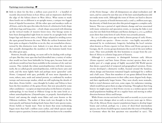**34** little to show for the first 2 million years post-LCA – a handful of recently discovered bones in East Africa and an impressive skull from the edge of the Sahara desert in West Africa. What seems to mark these fossils out as different is an upright stance, a unique two-legged form of bipedal locomotion. All the other apes and monkeys walk on all-fours, and in the apes this takes the form of a distinctive body shape with short legs and long arms – a body shape associated with shinning up the vertical trunks of massive forest trees. Our lineage seems to have been distinguished right from its outset by an upright body with longer legs and shorter arms, a body shape adapted to striding across the open ground between the trees. While the earliest hominins don't have quite as elegant a bodyline as we do, they are nonetheless characterized by this distinctive trait. Indeed, it is just about the only trait that actually distinguishes the members of the hominin family from the other great apes.

However, broadly speaking, we seem still to be dealing with ecological apes. But they were apes that had diversified into a variety of niches that would not have been habitable for living apes, because fruits and soft shoots would not have been available in the extremes of dry and wet seasons. They include the robust australopithecines with their massive teeth, the so-called gracile australopithecines, with less heavy jaws and teeth, and the more lightly built and perhaps more 'generalist' early *Homo*. Compared with apes, probably all were more dependent on roots, tubers, nuts, seeds and animal protein, as confirmed by modern isotope and microscope studies, which are still exploring the details of their diets. *Homo habilis –* once thought by Leakey and Tobias to have been the first members of the genus *Homo* (but now preceded by some other candidates) – occupies an important place in the history of palaeoanthropology. It was found at Olduvai Gorge in the same levels as a robust australopithecine (*Zinjanthropus,* or properly *Australopithecus boisei*) and among the simple stone flakes and cores known as the Oldowan tradition. The maker of these tools was thought to be the more gracile and human-looking fossil, hence their Latin species name, *Homo habilis* or 'handy man'. Now we know that stone toolmaking began more than half a million years earlier, and which species made them is open to question. It most certainly does not have to be a member

**34** little to show for the first 2 million years post-LCA – a handful of of the *Homo* lineage – after all chimpanzees are adept toolmakers and 35 users, and we cannot be sure that any of the later australopithecines did not make stone tools. Although the roots of *Homo* are hard to discern because of a paucity of fossils between and 2.0 and 2.5 million years ago, the diversity of finds from just after this period suggests a complex early history. This was a period of rapid climatic change and was associated with many extinction and speciation events, so tracing the links is not easy, but rare finds from Ethiopia and Kenya dating to 2.3 to 2.4 million years show that some form of early *Homo* was certainly present.

> By 1.9–1.8 million years ago we find a diverse group of early *Homo*, among which one species – *Homo erectus –* was highly successful as measured by its evolutionary longevity. Including the local varieties often known as *Homo ergaster* in East Africa and *Homo georgicus* in Georgia, the *H. erectus* group dominates the record of the next million years. They were probably the first hominins to escape from the confines of Africa to colonize large parts of Eurasia.

> Although it is customary to distinguish between early African (*Homo ergaster*) and later Asian (*Homo erectus*) species, these are in reality part of a single group of highly successful Old World species that shows a good deal of temporal and geographical variation. *Homo erectus* developed a distinctive toolkit, focused around the handaxe, whose design and functions remained largely unchanged for a million and a half years. These first members of our genus differed from their australopithecine predecessors in their taller, more elegant body shape, and their significantly larger brains. They were clearly more nomadic, built to travel distances and even, some argue, for endurance running, which would have given them an edge in hunting. Throughout their long history we might expect to find *Homo erectus* as a restless species with small populations budding off on a regular basis and moving in either direction between Africa and Europe.

> While *Homo erectus* survived in Asia until as recently as 50,000 years ago, there were changes afoot as early as 600,000 years ago in Africa. One of the African *Home ergaster* populations began to develop larger brains and evolved, perhaps via a series of short-lived intermediate species, into *Homo heidelbergensis* (named after the town of Heidelberg in Germany where the first specimen was unearthed in 1907). The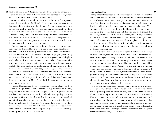**36 37** toolkit of *Homo heidelbergensis* was an advance over the handaxes of *Homo erectus*, and included some of the first composite tools, where stone was bound to wooden hafts to create spears.

*Homo heidelbergensis* underwent further evolutionary development, gradually giving rise to the Neanderthals (*Homo neanderthalensis*) in Europe and anatomically modern humans (*Homo sapiens*) in Africa. It was not until around 60,000 years ago that anatomically modern humans left Africa and skirted the southern coasts of Asia as far as Australia. Though they had surely crossed paths with Neanderthals in the Levant, it was only around 40,000 years ago, when they peeled back into Europe from the steppes of southern Russia, that they really came into contact with these northern hominins.

The Neanderthals had survived in Europe for several hundred thousand years by then, and had evolved effective anatomical adaptations to the harsh, sometimes freezing, conditions there. They had developed a lifestyle based around close-quarters hunting of large game, everything from deer and horses to rhino and mammoths – species that while plentiful and meat-rich are nonetheless dangerous to hunt face-to-face with thrusting spears. However, a significant change in the development of tools had to await the long cultural gestation of anatomically modern humans, who appeared around 200,000 years ago. It was not until 100,000 years later that we see in Africa the first evidence for sophisticated tools and artwork such as necklaces. We have to wait a further 60,000 years until Europe, with its profusion of figurines, bone flutes, beads and cave art – the Upper Palaeolithic Revolution – catches up in the game of symbols.

The last Neanderthals died out in southern Spain perhaps less than 40,000 years ago, as the height of the last Ice Age advanced. In the end, they proved to be less successful at coping with the rigours of these northern climates than anatomically modern humans, perhaps because they were lacking in cultural versatility. By then, modern humans had colonized Australia and they stood on the brink of crossing the Bering Strait to colonize the Americas. The great 'land-grab' by modern humans was almost over. Only the remote oceans remained for this single species to settle and thus complete its global journey – although that only happened in the last 5000 years.

#### Working together

What palaeoanthropologists and archaeologists have achieved over the last 50 years has been to make their Pandora's box of discoveries much bigger. If we set out to be archaeological purists, we could tell an entire story from this archaeology – we could insist that only archaeology can describe and interpret the human past from its material remains. Then we could get by, perhaps, just doing a double act with the human fossils that adorn the record. But in the end this will not do. Although the archaeology is the core of the cultural record, it has always depended on a host of scholars in other fields for illumination. Geologists, environmental scientists and dating specialists all play crucial parts in building the record. Then latterly primatologists, geneticists, neuroscientists – and of course evolutionary psychologists – have all now made their contributions.

Does this interaction mean that an integrated evolutionary story has emerged? Not yet, would be our answer. First, as our colleague the palaeoanthropologist Rob Foley has often noted, there has been too little effort to bring evolutionary theory into explanations of human evolution. Archaeologists have always treated human evolution as something unique, rather than as a 'normal' product of conventional evolutionary forces – just one of many hundreds of thousands of unique species. If we try to define humans as separate, we are forgetting the evolutionary gradient of the past – and the fact that nearly always our close relatives show some of the same features. Our aim should be to show how and why we diverged from the other apes and came to be as we are, not to make ourselves totally and artificially separate.

Two generations ago thinkers such as Julian Huxley came to appreciate the great importance of what he called psychosocial evolution. Mind was the preoccupation of several of the great evolutionary biologists of his day, including Bernhard Rensch and Theodosius Dobzhansky. What was missing, when we look back, was that these scientists focused nearly always on the anatomical and behavioural adaptations that characterized species – they scarcely considered the internal dynamics, how interactions between individuals shape a society, and influence the course of its evolution. A new cycle of interactions with psychology has been necessary to highlight these forces.